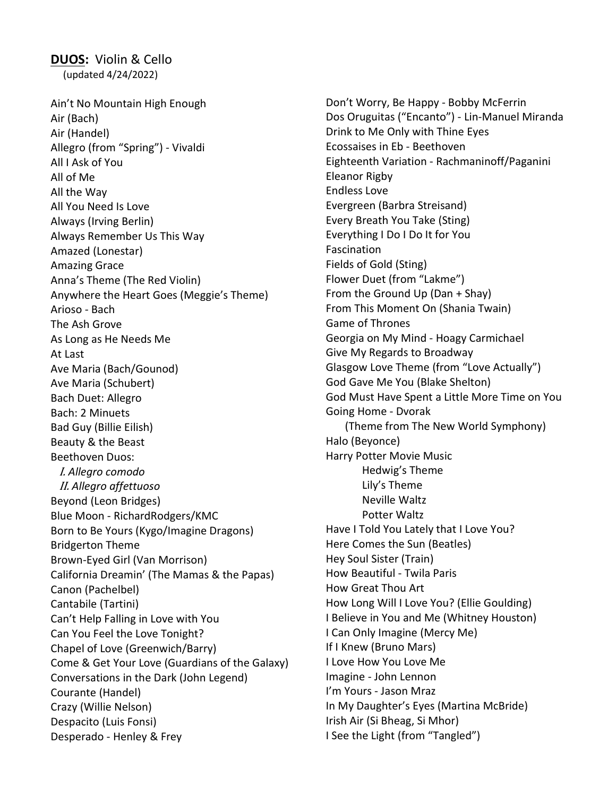DUOS: Violin & Cello (updated 4/24/2022)

Ain't No Mountain High Enough Air (Bach) Air (Handel) Allegro (from "Spring") - Vivaldi All I Ask of You All of Me All the Way All You Need Is Love Always (Irving Berlin) Always Remember Us This Way Amazed (Lonestar) Amazing Grace Anna's Theme (The Red Violin) Anywhere the Heart Goes (Meggie's Theme) Arioso - Bach The Ash Grove As Long as He Needs Me At Last Ave Maria (Bach/Gounod) Ave Maria (Schubert) Bach Duet: Allegro Bach: 2 Minuets Bad Guy (Billie Eilish) Beauty & the Beast Beethoven Duos: I. Allegro comodo II. Allegro affettuoso Beyond (Leon Bridges) Blue Moon - RichardRodgers/KMC Born to Be Yours (Kygo/Imagine Dragons) Bridgerton Theme Brown-Eyed Girl (Van Morrison) California Dreamin' (The Mamas & the Papas) Canon (Pachelbel) Cantabile (Tartini) Can't Help Falling in Love with You Can You Feel the Love Tonight? Chapel of Love (Greenwich/Barry) Come & Get Your Love (Guardians of the Galaxy) Conversations in the Dark (John Legend) Courante (Handel) Crazy (Willie Nelson) Despacito (Luis Fonsi) Desperado - Henley & Frey

Don't Worry, Be Happy - Bobby McFerrin Dos Oruguitas ("Encanto") - Lin-Manuel Miranda Drink to Me Only with Thine Eyes Ecossaises in Eb - Beethoven Eighteenth Variation - Rachmaninoff/Paganini Eleanor Rigby Endless Love Evergreen (Barbra Streisand) Every Breath You Take (Sting) Everything I Do I Do It for You Fascination Fields of Gold (Sting) Flower Duet (from "Lakme") From the Ground Up (Dan + Shay) From This Moment On (Shania Twain) Game of Thrones Georgia on My Mind - Hoagy Carmichael Give My Regards to Broadway Glasgow Love Theme (from "Love Actually") God Gave Me You (Blake Shelton) God Must Have Spent a Little More Time on You Going Home - Dvorak (Theme from The New World Symphony) Halo (Beyonce) Harry Potter Movie Music Hedwig's Theme Lily's Theme Neville Waltz Potter Waltz Have I Told You Lately that I Love You? Here Comes the Sun (Beatles) Hey Soul Sister (Train) How Beautiful - Twila Paris How Great Thou Art How Long Will I Love You? (Ellie Goulding) I Believe in You and Me (Whitney Houston) I Can Only Imagine (Mercy Me) If I Knew (Bruno Mars) I Love How You Love Me Imagine - John Lennon I'm Yours - Jason Mraz In My Daughter's Eyes (Martina McBride) Irish Air (Si Bheag, Si Mhor) I See the Light (from "Tangled")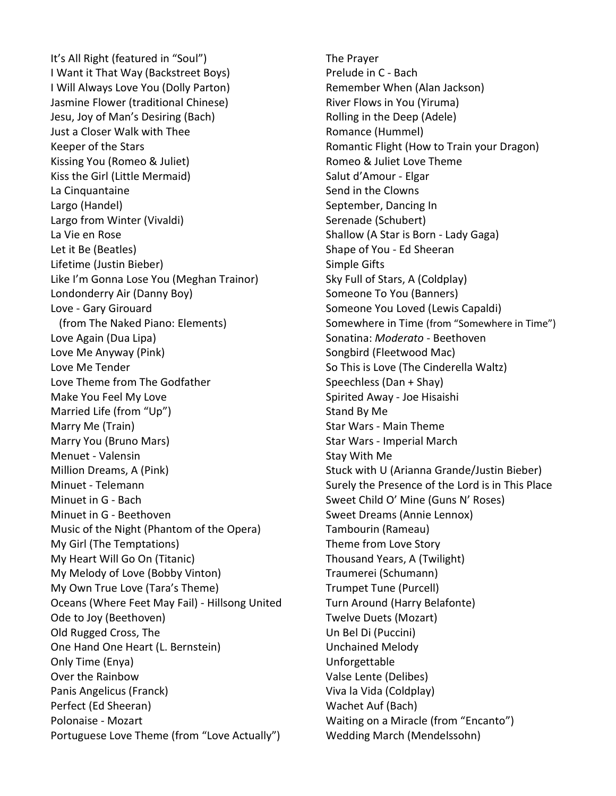It's All Right (featured in "Soul") I Want it That Way (Backstreet Boys) I Will Always Love You (Dolly Parton) Jasmine Flower (traditional Chinese) Jesu, Joy of Man's Desiring (Bach) Just a Closer Walk with Thee Keeper of the Stars Kissing You (Romeo & Juliet) Kiss the Girl (Little Mermaid) La Cinquantaine Largo (Handel) Largo from Winter (Vivaldi) La Vie en Rose Let it Be (Beatles) Lifetime (Justin Bieber) Like I'm Gonna Lose You (Meghan Trainor) Londonderry Air (Danny Boy) Love - Gary Girouard (from The Naked Piano: Elements) Love Again (Dua Lipa) Love Me Anyway (Pink) Love Me Tender Love Theme from The Godfather Make You Feel My Love Married Life (from "Up") Marry Me (Train) Marry You (Bruno Mars) Menuet - Valensin Million Dreams, A (Pink) Minuet - Telemann Minuet in G - Bach Minuet in G - Beethoven Music of the Night (Phantom of the Opera) My Girl (The Temptations) My Heart Will Go On (Titanic) My Melody of Love (Bobby Vinton) My Own True Love (Tara's Theme) Oceans (Where Feet May Fail) - Hillsong United Ode to Joy (Beethoven) Old Rugged Cross, The One Hand One Heart (L. Bernstein) Only Time (Enya) Over the Rainbow Panis Angelicus (Franck) Perfect (Ed Sheeran) Polonaise - Mozart Portuguese Love Theme (from "Love Actually")

The Prayer Prelude in C - Bach Remember When (Alan Jackson) River Flows in You (Yiruma) Rolling in the Deep (Adele) Romance (Hummel) Romantic Flight (How to Train your Dragon) Romeo & Juliet Love Theme Salut d'Amour - Elgar Send in the Clowns September, Dancing In Serenade (Schubert) Shallow (A Star is Born - Lady Gaga) Shape of You - Ed Sheeran Simple Gifts Sky Full of Stars, A (Coldplay) Someone To You (Banners) Someone You Loved (Lewis Capaldi) Somewhere in Time (from "Somewhere in Time") Sonatina: Moderato - Beethoven Songbird (Fleetwood Mac) So This is Love (The Cinderella Waltz) Speechless (Dan + Shay) Spirited Away - Joe Hisaishi Stand By Me Star Wars - Main Theme Star Wars - Imperial March Stay With Me Stuck with U (Arianna Grande/Justin Bieber) Surely the Presence of the Lord is in This Place Sweet Child O' Mine (Guns N' Roses) Sweet Dreams (Annie Lennox) Tambourin (Rameau) Theme from Love Story Thousand Years, A (Twilight) Traumerei (Schumann) Trumpet Tune (Purcell) Turn Around (Harry Belafonte) Twelve Duets (Mozart) Un Bel Di (Puccini) Unchained Melody Unforgettable Valse Lente (Delibes) Viva la Vida (Coldplay) Wachet Auf (Bach) Waiting on a Miracle (from "Encanto") Wedding March (Mendelssohn)